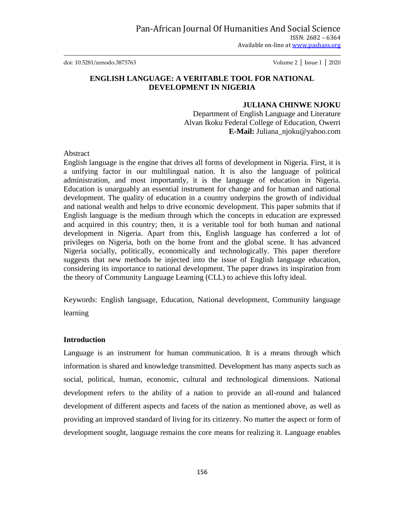doi: 10.5281/zenodo.3873763 Volume 2 │ Issue 1 │ 2020

# **ENGLISH LANGUAGE: A VERITABLE TOOL FOR NATIONAL DEVELOPMENT IN NIGERIA**

## **JULIANA CHINWE NJOKU**

 Department of English Language and Literature Alvan Ikoku Federal College of Education, Owerri **E-Mail:** Juliana\_njoku@yahoo.com

#### Abstract

English language is the engine that drives all forms of development in Nigeria. First, it is a unifying factor in our multilingual nation. It is also the language of political administration, and most importantly, it is the language of education in Nigeria. Education is unarguably an essential instrument for change and for human and national development. The quality of education in a country underpins the growth of individual and national wealth and helps to drive economic development. This paper submits that if English language is the medium through which the concepts in education are expressed and acquired in this country; then, it is a veritable tool for both human and national development in Nigeria. Apart from this, English language has conferred a lot of privileges on Nigeria, both on the home front and the global scene. It has advanced Nigeria socially, politically, economically and technologically. This paper therefore suggests that new methods be injected into the issue of English language education, considering its importance to national development. The paper draws its inspiration from the theory of Community Language Learning (CLL) to achieve this lofty ideal.

Keywords: English language, Education, National development, Community language learning

### **Introduction**

Language is an instrument for human communication. It is a means through which information is shared and knowledge transmitted. Development has many aspects such as social, political, human, economic, cultural and technological dimensions. National development refers to the ability of a nation to provide an all-round and balanced development of different aspects and facets of the nation as mentioned above, as well as providing an improved standard of living for its citizenry. No matter the aspect or form of development sought, language remains the core means for realizing it. Language enables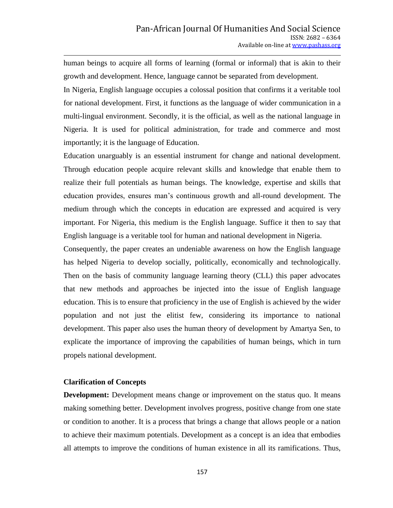human beings to acquire all forms of learning (formal or informal) that is akin to their growth and development. Hence, language cannot be separated from development.

In Nigeria, English language occupies a colossal position that confirms it a veritable tool for national development. First, it functions as the language of wider communication in a multi-lingual environment. Secondly, it is the official, as well as the national language in Nigeria. It is used for political administration, for trade and commerce and most importantly; it is the language of Education.

Education unarguably is an essential instrument for change and national development. Through education people acquire relevant skills and knowledge that enable them to realize their full potentials as human beings. The knowledge, expertise and skills that education provides, ensures man"s continuous growth and all-round development. The medium through which the concepts in education are expressed and acquired is very important. For Nigeria, this medium is the English language. Suffice it then to say that English language is a veritable tool for human and national development in Nigeria.

Consequently, the paper creates an undeniable awareness on how the English language has helped Nigeria to develop socially, politically, economically and technologically. Then on the basis of community language learning theory (CLL) this paper advocates that new methods and approaches be injected into the issue of English language education. This is to ensure that proficiency in the use of English is achieved by the wider population and not just the elitist few, considering its importance to national development. This paper also uses the human theory of development by Amartya Sen, to explicate the importance of improving the capabilities of human beings, which in turn propels national development.

### **Clarification of Concepts**

**Development:** Development means change or improvement on the status quo. It means making something better. Development involves progress, positive change from one state or condition to another. It is a process that brings a change that allows people or a nation to achieve their maximum potentials. Development as a concept is an idea that embodies all attempts to improve the conditions of human existence in all its ramifications. Thus,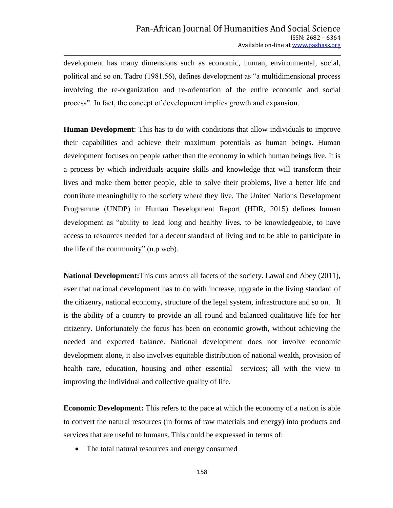development has many dimensions such as economic, human, environmental, social, political and so on. Tadro (1981.56), defines development as "a multidimensional process involving the re-organization and re-orientation of the entire economic and social process". In fact, the concept of development implies growth and expansion.

**Human Development**: This has to do with conditions that allow individuals to improve their capabilities and achieve their maximum potentials as human beings. Human development focuses on people rather than the economy in which human beings live. It is a process by which individuals acquire skills and knowledge that will transform their lives and make them better people, able to solve their problems, live a better life and contribute meaningfully to the society where they live. The United Nations Development Programme (UNDP) in Human Development Report (HDR, 2015) defines human development as "ability to lead long and healthy lives, to be knowledgeable, to have access to resources needed for a decent standard of living and to be able to participate in the life of the community" (n.p web).

**National Development:**This cuts across all facets of the society. Lawal and Abey (2011), aver that national development has to do with increase, upgrade in the living standard of the citizenry, national economy, structure of the legal system, infrastructure and so on. It is the ability of a country to provide an all round and balanced qualitative life for her citizenry. Unfortunately the focus has been on economic growth, without achieving the needed and expected balance. National development does not involve economic development alone, it also involves equitable distribution of national wealth, provision of health care, education, housing and other essential services; all with the view to improving the individual and collective quality of life.

**Economic Development:** This refers to the pace at which the economy of a nation is able to convert the natural resources (in forms of raw materials and energy) into products and services that are useful to humans. This could be expressed in terms of:

• The total natural resources and energy consumed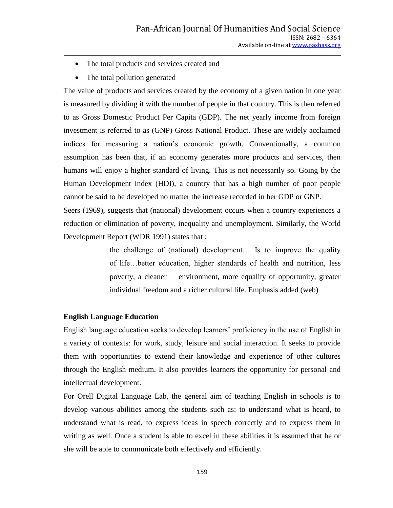- The total products and services created and
- The total pollution generated

The value of products and services created by the economy of a given nation in one year is measured by dividing it with the number of people in that country. This is then referred to as Gross Domestic Product Per Capita (GDP). The net yearly income from foreign investment is referred to as (GNP) Gross National Product. These are widely acclaimed indices for measuring a nation"s economic growth. Conventionally, a common assumption has been that, if an economy generates more products and services, then humans will enjoy a higher standard of living. This is not necessarily so. Going by the Human Development Index (HDI), a country that has a high number of poor people cannot be said to be developed no matter the increase recorded in her GDP or GNP.

Seers (1969), suggests that (national) development occurs when a country experiences a reduction or elimination of poverty, inequality and unemployment. Similarly, the World Development Report (WDR 1991) states that :

> the challenge of (national) development… Is to improve the quality of life…better education, higher standards of health and nutrition, less poverty, a cleaner environment, more equality of opportunity, greater individual freedom and a richer cultural life. Emphasis added (web)

### **English Language Education**

English language education seeks to develop learners" proficiency in the use of English in a variety of contexts: for work, study, leisure and social interaction. It seeks to provide them with opportunities to extend their knowledge and experience of other cultures through the English medium. It also provides learners the opportunity for personal and intellectual development.

For Orell Digital Language Lab, the general aim of teaching English in schools is to develop various abilities among the students such as: to understand what is heard, to understand what is read, to express ideas in speech correctly and to express them in writing as well. Once a student is able to excel in these abilities it is assumed that he or she will be able to communicate both effectively and efficiently.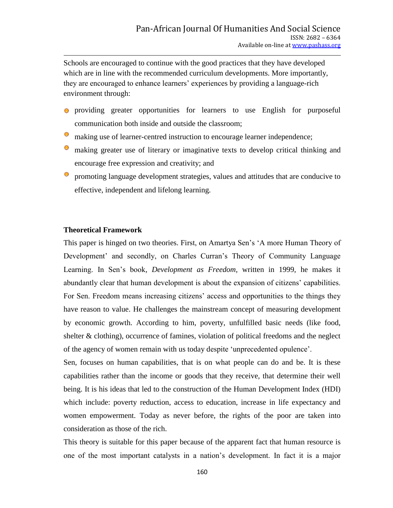Schools are encouraged to continue with the good practices that they have developed which are in line with the recommended curriculum developments. More importantly, they are encouraged to enhance learners" experiences by providing a language-rich environment through:

- providing greater opportunities for learners to use English for purposeful communication both inside and outside the classroom;
- Ō making use of learner-centred instruction to encourage learner independence;
- Θ making greater use of literary or imaginative texts to develop critical thinking and encourage free expression and creativity; and
- promoting language development strategies, values and attitudes that are conducive to effective, independent and lifelong learning.

### **Theoretical Framework**

This paper is hinged on two theories. First, on Amartya Sen"s "A more Human Theory of Development' and secondly, on Charles Curran's Theory of Community Language Learning. In Sen"s book*, Development as Freedom,* written in 1999, he makes it abundantly clear that human development is about the expansion of citizens" capabilities. For Sen. Freedom means increasing citizens' access and opportunities to the things they have reason to value. He challenges the mainstream concept of measuring development by economic growth. According to him, poverty, unfulfilled basic needs (like food, shelter & clothing), occurrence of famines, violation of political freedoms and the neglect of the agency of women remain with us today despite "unprecedented opulence".

Sen, focuses on human capabilities, that is on what people can do and be. It is these capabilities rather than the income or goods that they receive, that determine their well being. It is his ideas that led to the construction of the Human Development Index (HDI) which include: poverty reduction, access to education, increase in life expectancy and women empowerment. Today as never before, the rights of the poor are taken into consideration as those of the rich.

This theory is suitable for this paper because of the apparent fact that human resource is one of the most important catalysts in a nation"s development. In fact it is a major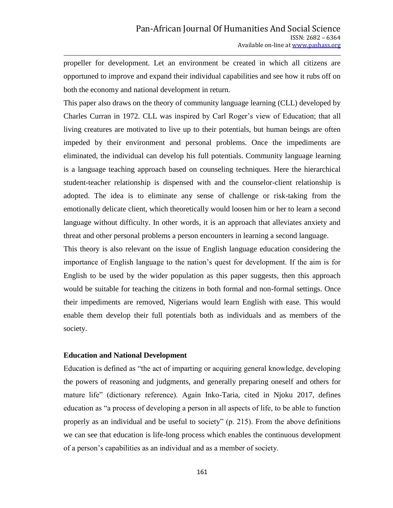propeller for development. Let an environment be created in which all citizens are opportuned to improve and expand their individual capabilities and see how it rubs off on both the economy and national development in return.

This paper also draws on the theory of community language learning (CLL) developed by Charles Curran in 1972. CLL was inspired by Carl Roger's view of Education; that all living creatures are motivated to live up to their potentials, but human beings are often impeded by their environment and personal problems. Once the impediments are eliminated, the individual can develop his full potentials. Community language learning is a language teaching approach based on counseling techniques. Here the hierarchical student-teacher relationship is dispensed with and the counselor-client relationship is adopted. The idea is to eliminate any sense of challenge or risk-taking from the emotionally delicate client, which theoretically would loosen him or her to learn a second language without difficulty. In other words, it is an approach that alleviates anxiety and threat and other personal problems a person encounters in learning a second language.

This theory is also relevant on the issue of English language education considering the importance of English language to the nation"s quest for development. If the aim is for English to be used by the wider population as this paper suggests, then this approach would be suitable for teaching the citizens in both formal and non-formal settings. Once their impediments are removed, Nigerians would learn English with ease. This would enable them develop their full potentials both as individuals and as members of the society.

### **Education and National Development**

Education is defined as "the act of imparting or acquiring general knowledge, developing the powers of reasoning and judgments, and generally preparing oneself and others for mature life" (dictionary reference). Again Inko-Taria, cited in Njoku 2017, defines education as "a process of developing a person in all aspects of life, to be able to function properly as an individual and be useful to society" (p. 215). From the above definitions we can see that education is life-long process which enables the continuous development of a person"s capabilities as an individual and as a member of society.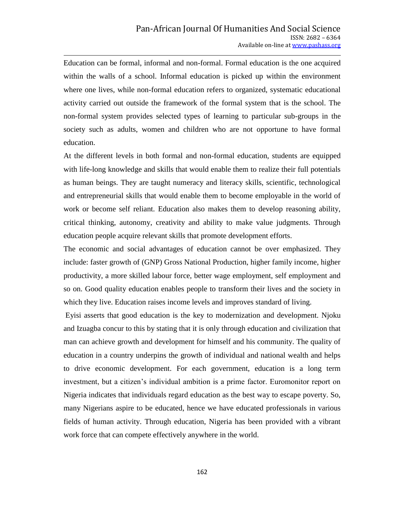Education can be formal, informal and non-formal. Formal education is the one acquired within the walls of a school. Informal education is picked up within the environment where one lives, while non-formal education refers to organized, systematic educational activity carried out outside the framework of the formal system that is the school. The non-formal system provides selected types of learning to particular sub-groups in the society such as adults, women and children who are not opportune to have formal education.

At the different levels in both formal and non-formal education, students are equipped with life-long knowledge and skills that would enable them to realize their full potentials as human beings. They are taught numeracy and literacy skills, scientific, technological and entrepreneurial skills that would enable them to become employable in the world of work or become self reliant. Education also makes them to develop reasoning ability, critical thinking, autonomy, creativity and ability to make value judgments. Through education people acquire relevant skills that promote development efforts.

The economic and social advantages of education cannot be over emphasized. They include: faster growth of (GNP) Gross National Production, higher family income, higher productivity, a more skilled labour force, better wage employment, self employment and so on. Good quality education enables people to transform their lives and the society in which they live. Education raises income levels and improves standard of living.

Eyisi asserts that good education is the key to modernization and development. Njoku and Izuagba concur to this by stating that it is only through education and civilization that man can achieve growth and development for himself and his community. The quality of education in a country underpins the growth of individual and national wealth and helps to drive economic development. For each government, education is a long term investment, but a citizen's individual ambition is a prime factor. Euromonitor report on Nigeria indicates that individuals regard education as the best way to escape poverty. So, many Nigerians aspire to be educated, hence we have educated professionals in various fields of human activity. Through education, Nigeria has been provided with a vibrant work force that can compete effectively anywhere in the world.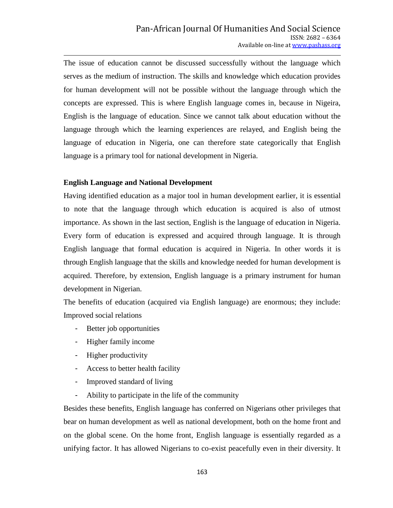The issue of education cannot be discussed successfully without the language which serves as the medium of instruction. The skills and knowledge which education provides for human development will not be possible without the language through which the concepts are expressed. This is where English language comes in, because in Nigeira, English is the language of education. Since we cannot talk about education without the language through which the learning experiences are relayed, and English being the language of education in Nigeria, one can therefore state categorically that English language is a primary tool for national development in Nigeria.

### **English Language and National Development**

Having identified education as a major tool in human development earlier, it is essential to note that the language through which education is acquired is also of utmost importance. As shown in the last section, English is the language of education in Nigeria. Every form of education is expressed and acquired through language. It is through English language that formal education is acquired in Nigeria. In other words it is through English language that the skills and knowledge needed for human development is acquired. Therefore, by extension, English language is a primary instrument for human development in Nigerian.

The benefits of education (acquired via English language) are enormous; they include: Improved social relations

- Better job opportunities
- Higher family income
- Higher productivity
- Access to better health facility
- Improved standard of living
- Ability to participate in the life of the community

Besides these benefits, English language has conferred on Nigerians other privileges that bear on human development as well as national development, both on the home front and on the global scene. On the home front, English language is essentially regarded as a unifying factor. It has allowed Nigerians to co-exist peacefully even in their diversity. It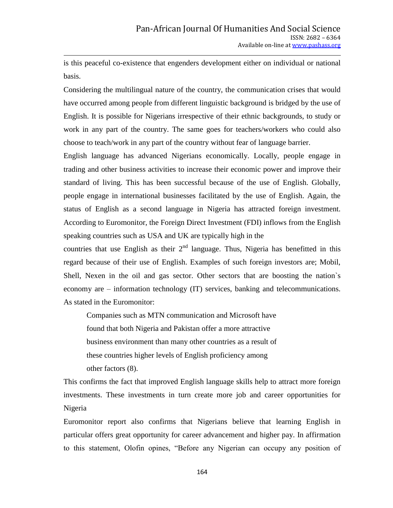is this peaceful co-existence that engenders development either on individual or national basis.

Considering the multilingual nature of the country, the communication crises that would have occurred among people from different linguistic background is bridged by the use of English. It is possible for Nigerians irrespective of their ethnic backgrounds, to study or work in any part of the country. The same goes for teachers/workers who could also choose to teach/work in any part of the country without fear of language barrier.

English language has advanced Nigerians economically. Locally, people engage in trading and other business activities to increase their economic power and improve their standard of living. This has been successful because of the use of English. Globally, people engage in international businesses facilitated by the use of English. Again, the status of English as a second language in Nigeria has attracted foreign investment. According to Euromonitor, the Foreign Direct Investment (FDI) inflows from the English speaking countries such as USA and UK are typically high in the

countries that use English as their  $2<sup>nd</sup>$  language. Thus, Nigeria has benefitted in this regard because of their use of English. Examples of such foreign investors are; Mobil, Shell, Nexen in the oil and gas sector. Other sectors that are boosting the nation`s economy are – information technology (IT) services, banking and telecommunications. As stated in the Euromonitor:

Companies such as MTN communication and Microsoft have found that both Nigeria and Pakistan offer a more attractive business environment than many other countries as a result of these countries higher levels of English proficiency among other factors (8).

This confirms the fact that improved English language skills help to attract more foreign investments. These investments in turn create more job and career opportunities for Nigeria

Euromonitor report also confirms that Nigerians believe that learning English in particular offers great opportunity for career advancement and higher pay. In affirmation to this statement, Olofin opines, "Before any Nigerian can occupy any position of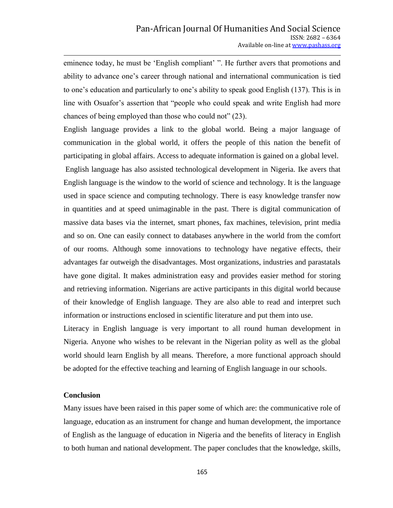eminence today, he must be 'English compliant' ". He further avers that promotions and ability to advance one"s career through national and international communication is tied to one"s education and particularly to one"s ability to speak good English (137). This is in line with Osuafor's assertion that "people who could speak and write English had more chances of being employed than those who could not" (23).

English language provides a link to the global world. Being a major language of communication in the global world, it offers the people of this nation the benefit of participating in global affairs. Access to adequate information is gained on a global level. English language has also assisted technological development in Nigeria. Ike avers that English language is the window to the world of science and technology. It is the language used in space science and computing technology. There is easy knowledge transfer now in quantities and at speed unimaginable in the past. There is digital communication of massive data bases via the internet, smart phones, fax machines, television, print media and so on. One can easily connect to databases anywhere in the world from the comfort of our rooms. Although some innovations to technology have negative effects, their advantages far outweigh the disadvantages. Most organizations, industries and parastatals have gone digital. It makes administration easy and provides easier method for storing and retrieving information. Nigerians are active participants in this digital world because of their knowledge of English language. They are also able to read and interpret such information or instructions enclosed in scientific literature and put them into use.

Literacy in English language is very important to all round human development in Nigeria. Anyone who wishes to be relevant in the Nigerian polity as well as the global world should learn English by all means. Therefore, a more functional approach should be adopted for the effective teaching and learning of English language in our schools.

### **Conclusion**

Many issues have been raised in this paper some of which are: the communicative role of language, education as an instrument for change and human development, the importance of English as the language of education in Nigeria and the benefits of literacy in English to both human and national development. The paper concludes that the knowledge, skills,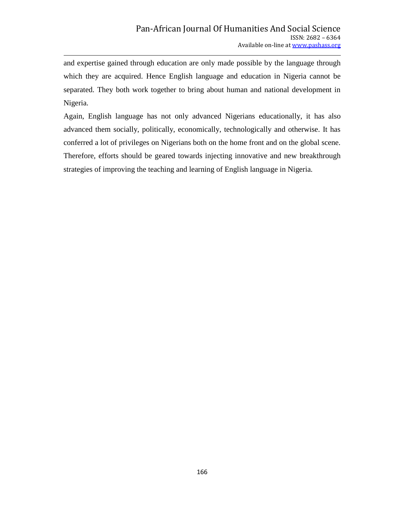and expertise gained through education are only made possible by the language through which they are acquired. Hence English language and education in Nigeria cannot be separated. They both work together to bring about human and national development in Nigeria.

Again, English language has not only advanced Nigerians educationally, it has also advanced them socially, politically, economically, technologically and otherwise. It has conferred a lot of privileges on Nigerians both on the home front and on the global scene. Therefore, efforts should be geared towards injecting innovative and new breakthrough strategies of improving the teaching and learning of English language in Nigeria.